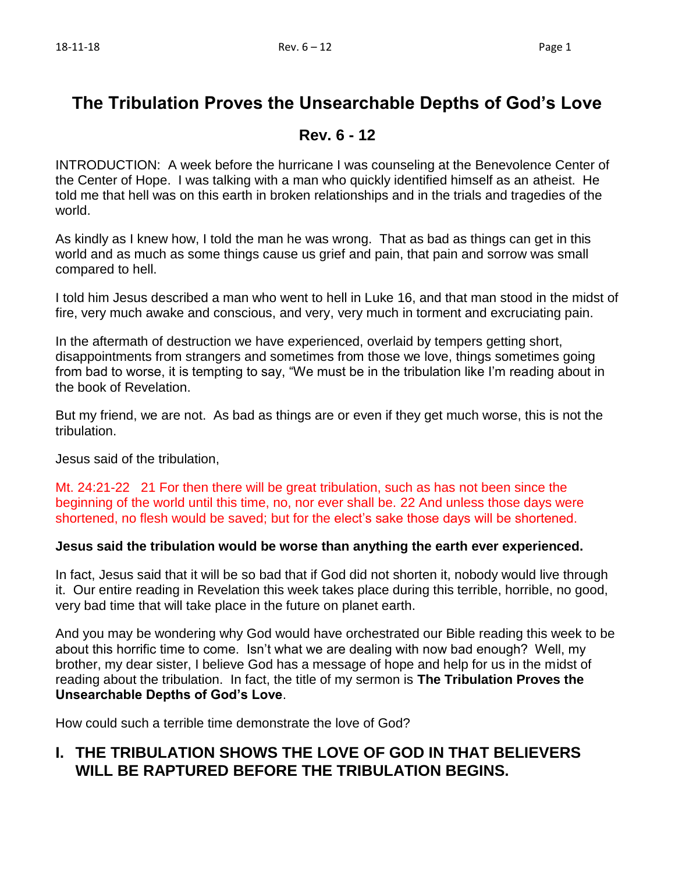# **The Tribulation Proves the Unsearchable Depths of God's Love**

## **Rev. 6 - 12**

INTRODUCTION: A week before the hurricane I was counseling at the Benevolence Center of the Center of Hope. I was talking with a man who quickly identified himself as an atheist. He told me that hell was on this earth in broken relationships and in the trials and tragedies of the world.

As kindly as I knew how, I told the man he was wrong. That as bad as things can get in this world and as much as some things cause us grief and pain, that pain and sorrow was small compared to hell.

I told him Jesus described a man who went to hell in Luke 16, and that man stood in the midst of fire, very much awake and conscious, and very, very much in torment and excruciating pain.

In the aftermath of destruction we have experienced, overlaid by tempers getting short, disappointments from strangers and sometimes from those we love, things sometimes going from bad to worse, it is tempting to say, "We must be in the tribulation like I'm reading about in the book of Revelation.

But my friend, we are not. As bad as things are or even if they get much worse, this is not the tribulation.

Jesus said of the tribulation,

Mt. 24:21-22 21 For then there will be great tribulation, such as has not been since the beginning of the world until this time, no, nor ever shall be. 22 And unless those days were shortened, no flesh would be saved; but for the elect's sake those days will be shortened.

#### **Jesus said the tribulation would be worse than anything the earth ever experienced.**

In fact, Jesus said that it will be so bad that if God did not shorten it, nobody would live through it. Our entire reading in Revelation this week takes place during this terrible, horrible, no good, very bad time that will take place in the future on planet earth.

And you may be wondering why God would have orchestrated our Bible reading this week to be about this horrific time to come. Isn't what we are dealing with now bad enough? Well, my brother, my dear sister, I believe God has a message of hope and help for us in the midst of reading about the tribulation. In fact, the title of my sermon is **The Tribulation Proves the Unsearchable Depths of God's Love**.

How could such a terrible time demonstrate the love of God?

# **I. THE TRIBULATION SHOWS THE LOVE OF GOD IN THAT BELIEVERS WILL BE RAPTURED BEFORE THE TRIBULATION BEGINS.**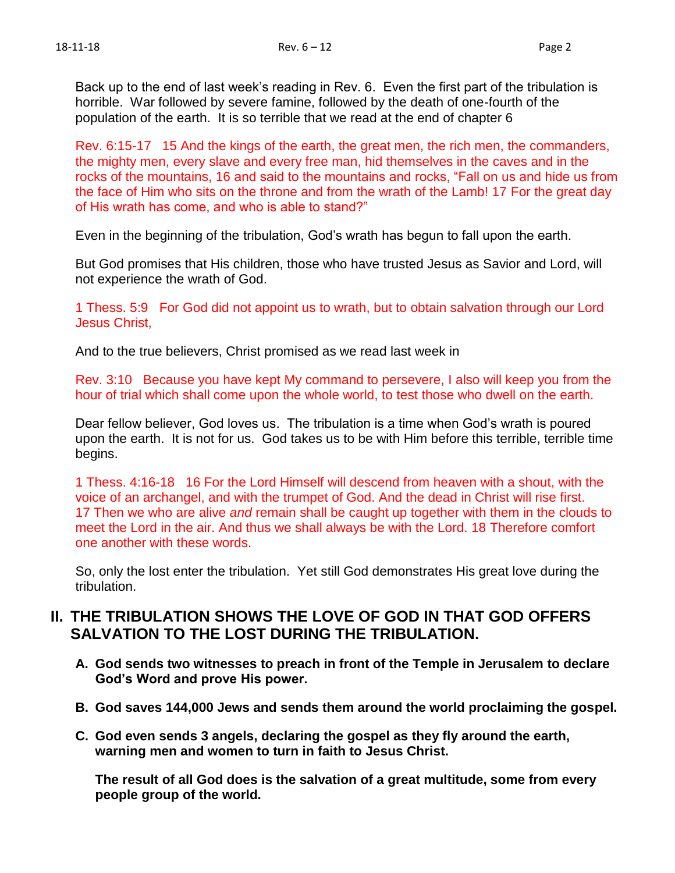Back up to the end of last week's reading in Rev. 6. Even the first part of the tribulation is horrible. War followed by severe famine, followed by the death of one-fourth of the population of the earth. It is so terrible that we read at the end of chapter 6

Rev. 6:15-17 15 And the kings of the earth, the great men, the rich men, the commanders, the mighty men, every slave and every free man, hid themselves in the caves and in the rocks of the mountains, 16 and said to the mountains and rocks, "Fall on us and hide us from the face of Him who sits on the throne and from the wrath of the Lamb! 17 For the great day of His wrath has come, and who is able to stand?"

Even in the beginning of the tribulation, God's wrath has begun to fall upon the earth.

But God promises that His children, those who have trusted Jesus as Savior and Lord, will not experience the wrath of God.

1 Thess. 5:9 For God did not appoint us to wrath, but to obtain salvation through our Lord Jesus Christ,

And to the true believers, Christ promised as we read last week in

Rev. 3:10 Because you have kept My command to persevere, I also will keep you from the hour of trial which shall come upon the whole world, to test those who dwell on the earth.

Dear fellow believer, God loves us. The tribulation is a time when God's wrath is poured upon the earth. It is not for us. God takes us to be with Him before this terrible, terrible time begins.

1 Thess. 4:16-18 16 For the Lord Himself will descend from heaven with a shout, with the voice of an archangel, and with the trumpet of God. And the dead in Christ will rise first. 17 Then we who are alive *and* remain shall be caught up together with them in the clouds to meet the Lord in the air. And thus we shall always be with the Lord. 18 Therefore comfort one another with these words.

So, only the lost enter the tribulation. Yet still God demonstrates His great love during the tribulation.

### **II. THE TRIBULATION SHOWS THE LOVE OF GOD IN THAT GOD OFFERS SALVATION TO THE LOST DURING THE TRIBULATION.**

- **A. God sends two witnesses to preach in front of the Temple in Jerusalem to declare God's Word and prove His power.**
- **B. God saves 144,000 Jews and sends them around the world proclaiming the gospel.**
- **C. God even sends 3 angels, declaring the gospel as they fly around the earth, warning men and women to turn in faith to Jesus Christ.**

**The result of all God does is the salvation of a great multitude, some from every people group of the world.**